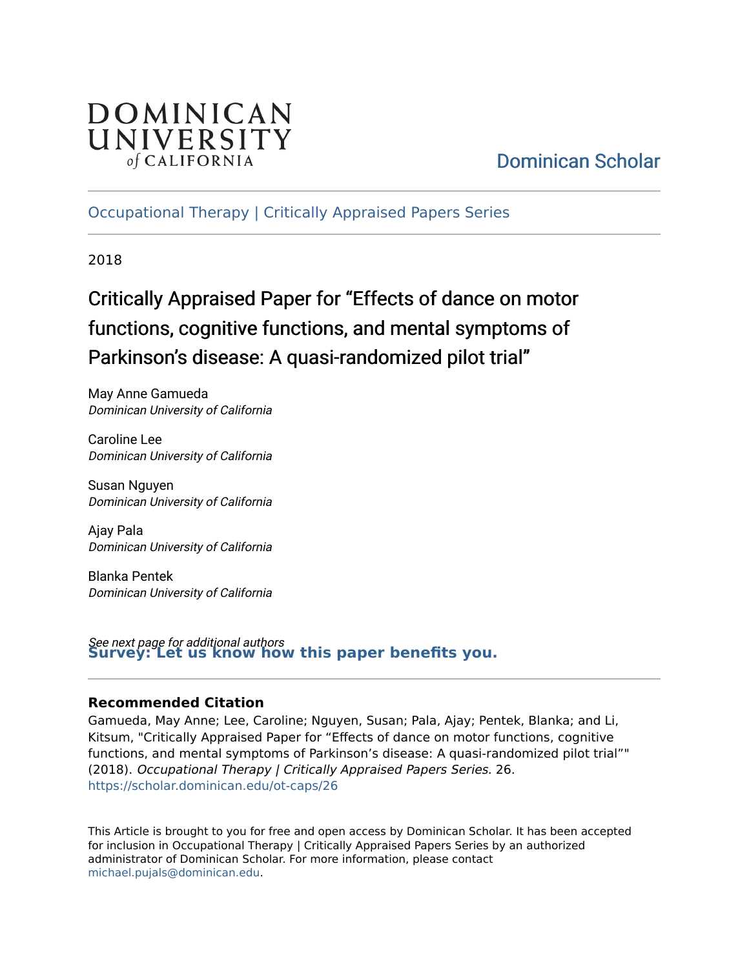## DOMINICAN UNIVERSITY of CALIFORNIA

## [Dominican Scholar](https://scholar.dominican.edu/)

[Occupational Therapy | Critically Appraised Papers Series](https://scholar.dominican.edu/ot-caps) 

2018

## Critically Appraised Paper for "Effects of dance on motor functions, cognitive functions, and mental symptoms of Parkinson's disease: A quasi-randomized pilot trial"

May Anne Gamueda Dominican University of California

Caroline Lee Dominican University of California

Susan Nguyen Dominican University of California

Ajay Pala Dominican University of California

Blanka Pentek Dominican University of California

See next page for additional authors **[Survey: Let us know how this paper benefits you.](https://dominican.libwizard.com/dominican-scholar-feedback)** 

#### **Recommended Citation**

Gamueda, May Anne; Lee, Caroline; Nguyen, Susan; Pala, Ajay; Pentek, Blanka; and Li, Kitsum, "Critically Appraised Paper for "Effects of dance on motor functions, cognitive functions, and mental symptoms of Parkinson's disease: A quasi-randomized pilot trial"" (2018). Occupational Therapy | Critically Appraised Papers Series. 26. [https://scholar.dominican.edu/ot-caps/26](https://scholar.dominican.edu/ot-caps/26?utm_source=scholar.dominican.edu%2Fot-caps%2F26&utm_medium=PDF&utm_campaign=PDFCoverPages) 

This Article is brought to you for free and open access by Dominican Scholar. It has been accepted for inclusion in Occupational Therapy | Critically Appraised Papers Series by an authorized administrator of Dominican Scholar. For more information, please contact [michael.pujals@dominican.edu.](mailto:michael.pujals@dominican.edu)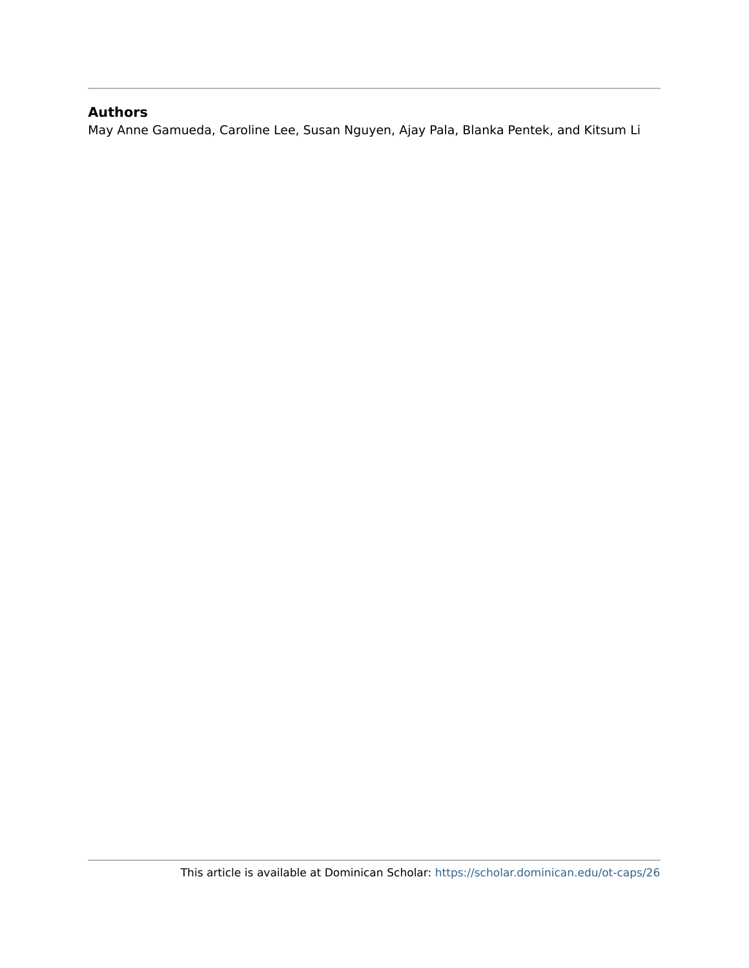#### **Authors**

May Anne Gamueda, Caroline Lee, Susan Nguyen, Ajay Pala, Blanka Pentek, and Kitsum Li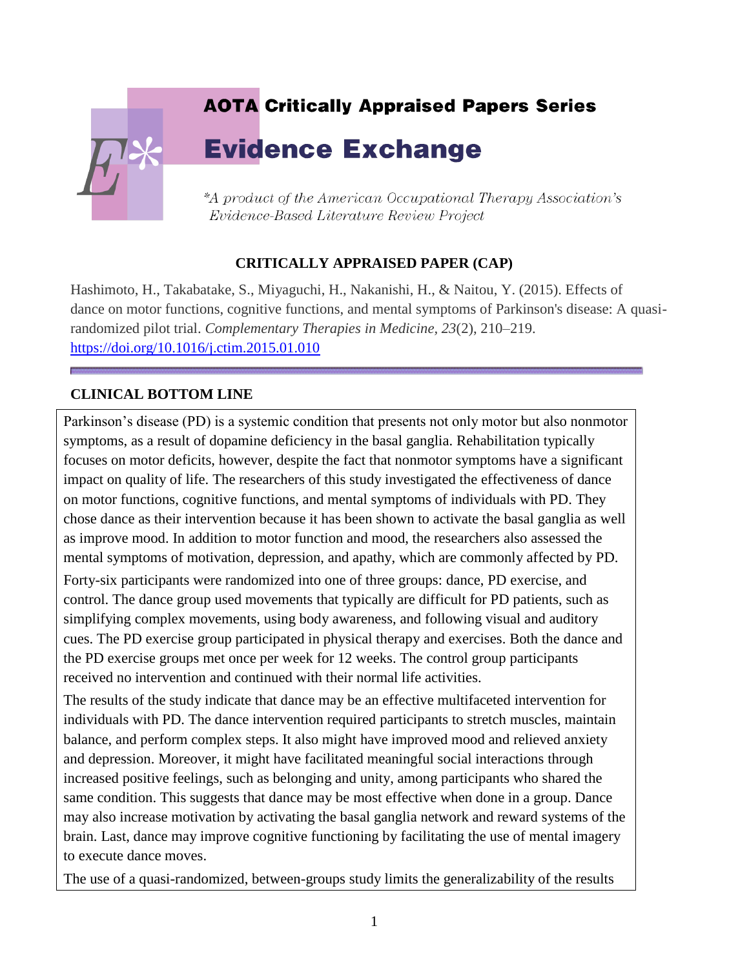# **AOTA Critically Appraised Papers Series Evidence Exchange** \*A product of the American Occupational Therapy Association's Evidence-Based Literature Review Project

#### **CRITICALLY APPRAISED PAPER (CAP)**

Hashimoto, H., Takabatake, S., Miyaguchi, H., Nakanishi, H., & Naitou, Y. (2015). Effects of dance on motor functions, cognitive functions, and mental symptoms of Parkinson's disease: A quasirandomized pilot trial. *Complementary Therapies in Medicine, 23*(2), 210–219. <https://doi.org/10.1016/j.ctim.2015.01.010>

#### **CLINICAL BOTTOM LINE**

Parkinson's disease (PD) is a systemic condition that presents not only motor but also nonmotor symptoms, as a result of dopamine deficiency in the basal ganglia. Rehabilitation typically focuses on motor deficits, however, despite the fact that nonmotor symptoms have a significant impact on quality of life. The researchers of this study investigated the effectiveness of dance on motor functions, cognitive functions, and mental symptoms of individuals with PD. They chose dance as their intervention because it has been shown to activate the basal ganglia as well as improve mood. In addition to motor function and mood, the researchers also assessed the mental symptoms of motivation, depression, and apathy, which are commonly affected by PD.

Forty-six participants were randomized into one of three groups: dance, PD exercise, and control. The dance group used movements that typically are difficult for PD patients, such as simplifying complex movements, using body awareness, and following visual and auditory cues. The PD exercise group participated in physical therapy and exercises. Both the dance and the PD exercise groups met once per week for 12 weeks. The control group participants received no intervention and continued with their normal life activities.

The results of the study indicate that dance may be an effective multifaceted intervention for individuals with PD. The dance intervention required participants to stretch muscles, maintain balance, and perform complex steps. It also might have improved mood and relieved anxiety and depression. Moreover, it might have facilitated meaningful social interactions through increased positive feelings, such as belonging and unity, among participants who shared the same condition. This suggests that dance may be most effective when done in a group. Dance may also increase motivation by activating the basal ganglia network and reward systems of the brain. Last, dance may improve cognitive functioning by facilitating the use of mental imagery to execute dance moves.

The use of a quasi-randomized, between-groups study limits the generalizability of the results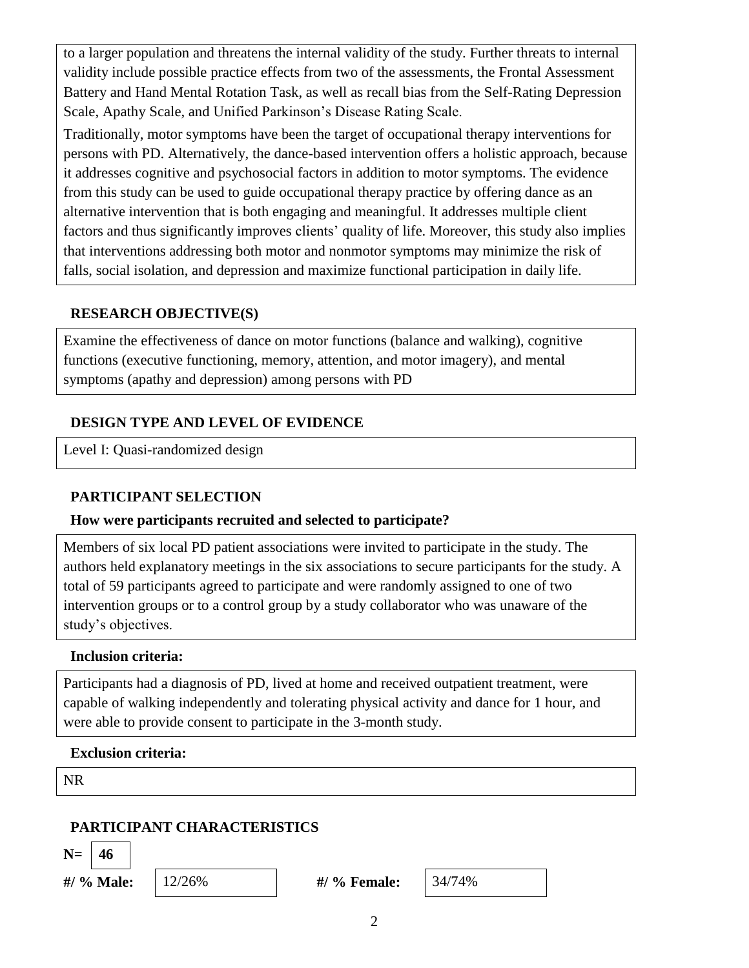to a larger population and threatens the internal validity of the study. Further threats to internal validity include possible practice effects from two of the assessments, the Frontal Assessment Battery and Hand Mental Rotation Task, as well as recall bias from the Self-Rating Depression Scale, Apathy Scale, and Unified Parkinson's Disease Rating Scale.

Traditionally, motor symptoms have been the target of occupational therapy interventions for persons with PD. Alternatively, the dance-based intervention offers a holistic approach, because it addresses cognitive and psychosocial factors in addition to motor symptoms. The evidence from this study can be used to guide occupational therapy practice by offering dance as an alternative intervention that is both engaging and meaningful. It addresses multiple client factors and thus significantly improves clients' quality of life. Moreover, this study also implies that interventions addressing both motor and nonmotor symptoms may minimize the risk of falls, social isolation, and depression and maximize functional participation in daily life.

#### **RESEARCH OBJECTIVE(S)**

Examine the effectiveness of dance on motor functions (balance and walking), cognitive functions (executive functioning, memory, attention, and motor imagery), and mental symptoms (apathy and depression) among persons with PD

#### **DESIGN TYPE AND LEVEL OF EVIDENCE**

Level I: Quasi-randomized design

#### **PARTICIPANT SELECTION**

#### **How were participants recruited and selected to participate?**

Members of six local PD patient associations were invited to participate in the study. The authors held explanatory meetings in the six associations to secure participants for the study. A total of 59 participants agreed to participate and were randomly assigned to one of two intervention groups or to a control group by a study collaborator who was unaware of the study's objectives.

#### **Inclusion criteria:**

Participants had a diagnosis of PD, lived at home and received outpatient treatment, were capable of walking independently and tolerating physical activity and dance for 1 hour, and were able to provide consent to participate in the 3-month study.

#### **Exclusion criteria:**

NR

### **PARTICIPANT CHARACTERISTICS**

**N= 46**

**#/ % Male:** 12/26% **#/ % Female:** 34/74%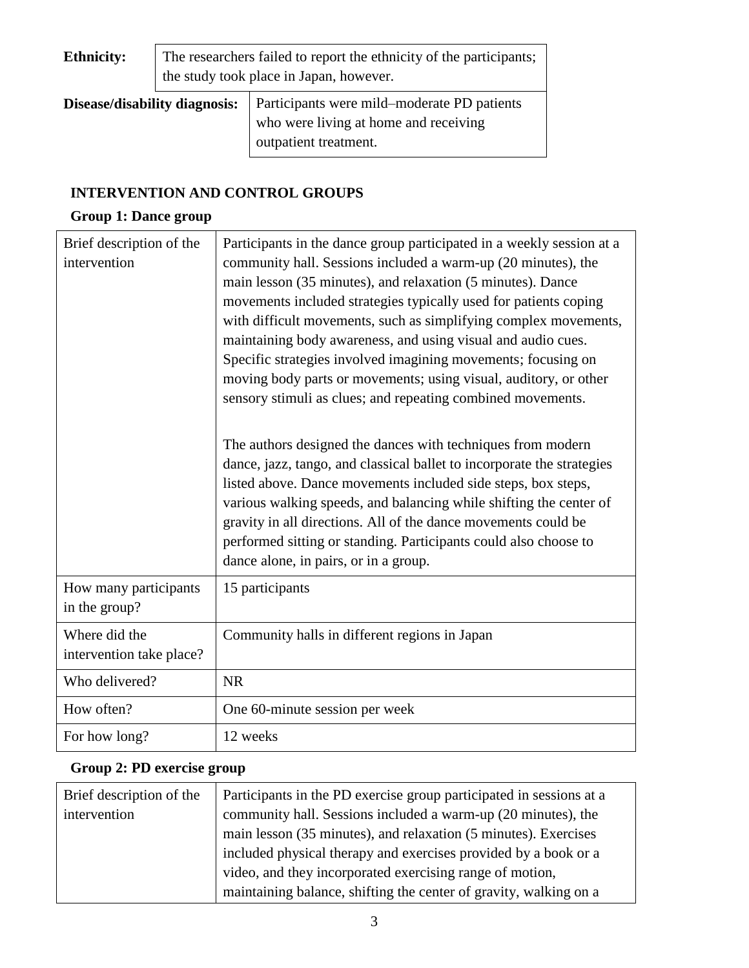| <b>Ethnicity:</b>             | The researchers failed to report the ethnicity of the participants;<br>the study took place in Japan, however. |                                                                                                               |  |
|-------------------------------|----------------------------------------------------------------------------------------------------------------|---------------------------------------------------------------------------------------------------------------|--|
| Disease/disability diagnosis: |                                                                                                                | Participants were mild–moderate PD patients<br>who were living at home and receiving<br>outpatient treatment. |  |

#### **INTERVENTION AND CONTROL GROUPS**

## **Group 1: Dance group**

| Brief description of the<br>intervention  | Participants in the dance group participated in a weekly session at a<br>community hall. Sessions included a warm-up (20 minutes), the<br>main lesson (35 minutes), and relaxation (5 minutes). Dance<br>movements included strategies typically used for patients coping<br>with difficult movements, such as simplifying complex movements,<br>maintaining body awareness, and using visual and audio cues.<br>Specific strategies involved imagining movements; focusing on<br>moving body parts or movements; using visual, auditory, or other<br>sensory stimuli as clues; and repeating combined movements. |
|-------------------------------------------|-------------------------------------------------------------------------------------------------------------------------------------------------------------------------------------------------------------------------------------------------------------------------------------------------------------------------------------------------------------------------------------------------------------------------------------------------------------------------------------------------------------------------------------------------------------------------------------------------------------------|
|                                           | The authors designed the dances with techniques from modern<br>dance, jazz, tango, and classical ballet to incorporate the strategies<br>listed above. Dance movements included side steps, box steps,<br>various walking speeds, and balancing while shifting the center of<br>gravity in all directions. All of the dance movements could be<br>performed sitting or standing. Participants could also choose to<br>dance alone, in pairs, or in a group.                                                                                                                                                       |
| How many participants<br>in the group?    | 15 participants                                                                                                                                                                                                                                                                                                                                                                                                                                                                                                                                                                                                   |
| Where did the<br>intervention take place? | Community halls in different regions in Japan                                                                                                                                                                                                                                                                                                                                                                                                                                                                                                                                                                     |
| Who delivered?                            | <b>NR</b>                                                                                                                                                                                                                                                                                                                                                                                                                                                                                                                                                                                                         |
| How often?                                | One 60-minute session per week                                                                                                                                                                                                                                                                                                                                                                                                                                                                                                                                                                                    |
| For how long?                             | 12 weeks                                                                                                                                                                                                                                                                                                                                                                                                                                                                                                                                                                                                          |

## **Group 2: PD exercise group**

| Brief description of the | Participants in the PD exercise group participated in sessions at a |  |
|--------------------------|---------------------------------------------------------------------|--|
| intervention             | community hall. Sessions included a warm-up (20 minutes), the       |  |
|                          | main lesson (35 minutes), and relaxation (5 minutes). Exercises     |  |
|                          | included physical therapy and exercises provided by a book or a     |  |
|                          | video, and they incorporated exercising range of motion,            |  |
|                          | maintaining balance, shifting the center of gravity, walking on a   |  |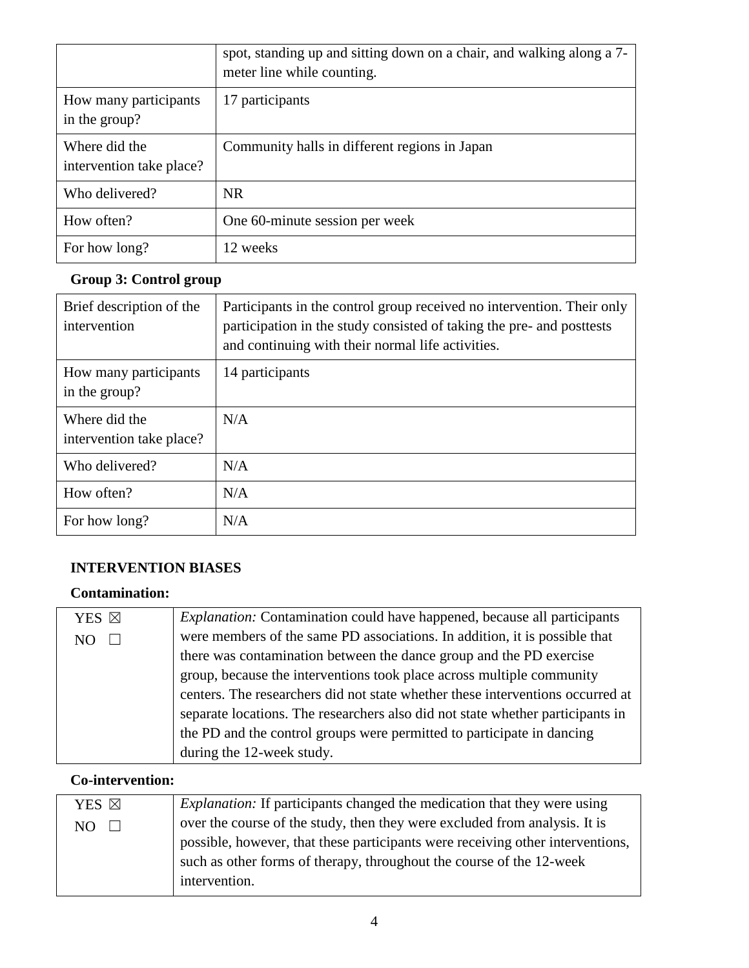|                                           | spot, standing up and sitting down on a chair, and walking along a 7-<br>meter line while counting. |  |
|-------------------------------------------|-----------------------------------------------------------------------------------------------------|--|
| How many participants<br>in the group?    | 17 participants                                                                                     |  |
| Where did the<br>intervention take place? | Community halls in different regions in Japan                                                       |  |
| Who delivered?                            | NR.                                                                                                 |  |
| How often?                                | One 60-minute session per week                                                                      |  |
| For how long?                             | 12 weeks                                                                                            |  |

## **Group 3: Control group**

| Brief description of the<br>intervention  | Participants in the control group received no intervention. Their only<br>participation in the study consisted of taking the pre- and posttests<br>and continuing with their normal life activities. |  |
|-------------------------------------------|------------------------------------------------------------------------------------------------------------------------------------------------------------------------------------------------------|--|
| How many participants<br>in the group?    | 14 participants                                                                                                                                                                                      |  |
| Where did the<br>intervention take place? | N/A                                                                                                                                                                                                  |  |
| Who delivered?                            | N/A                                                                                                                                                                                                  |  |
| How often?                                | N/A                                                                                                                                                                                                  |  |
| For how long?                             | N/A                                                                                                                                                                                                  |  |

#### **INTERVENTION BIASES**

#### **Contamination:**

| YES ⊠ | <i>Explanation:</i> Contamination could have happened, because all participants |  |
|-------|---------------------------------------------------------------------------------|--|
|       | were members of the same PD associations. In addition, it is possible that      |  |
|       | there was contamination between the dance group and the PD exercise             |  |
|       | group, because the interventions took place across multiple community           |  |
|       | centers. The researchers did not state whether these interventions occurred at  |  |
|       | separate locations. The researchers also did not state whether participants in  |  |
|       | the PD and the control groups were permitted to participate in dancing          |  |
|       | during the 12-week study.                                                       |  |

## **Co-intervention:**

| YES ⊠         | <i>Explanation:</i> If participants changed the medication that they were using |
|---------------|---------------------------------------------------------------------------------|
| NO.<br>$\Box$ | over the course of the study, then they were excluded from analysis. It is      |
|               | possible, however, that these participants were receiving other interventions,  |
|               | such as other forms of therapy, throughout the course of the 12-week            |
|               | intervention.                                                                   |
|               |                                                                                 |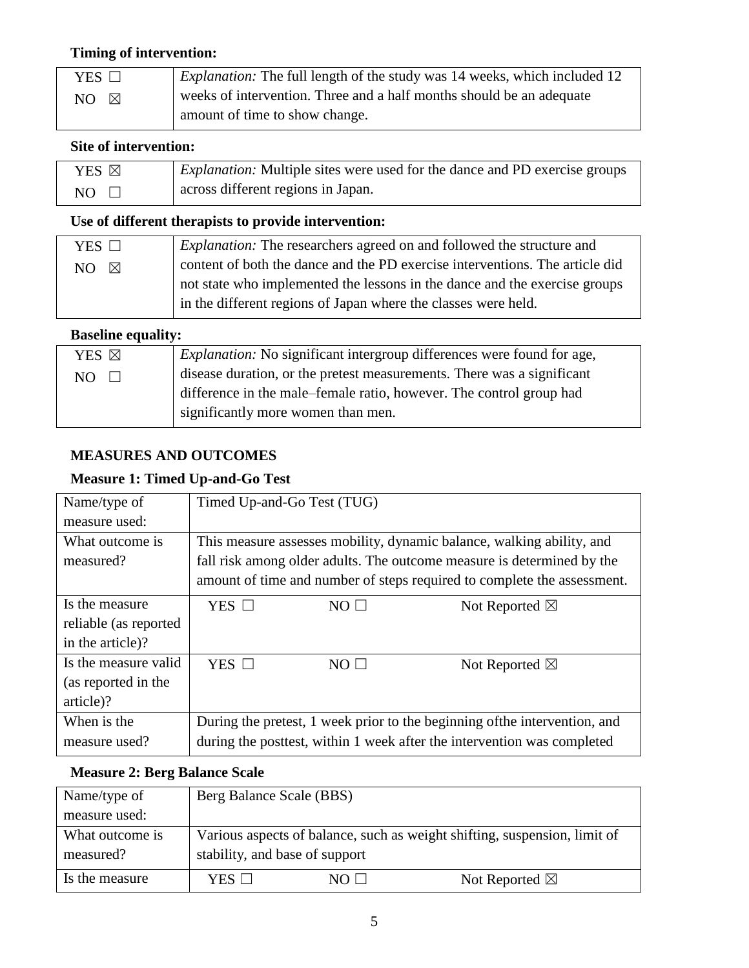#### **Timing of intervention:**

| $YES$ $\Box$ | <i>Explanation:</i> The full length of the study was 14 weeks, which included 12 |
|--------------|----------------------------------------------------------------------------------|
| - 18<br>NO - | weeks of intervention. Three and a half months should be an adequate             |
|              | amount of time to show change.                                                   |

#### **Site of intervention:**

| YES ⊠ | <i>Explanation:</i> Multiple sites were used for the dance and PD exercise groups |
|-------|-----------------------------------------------------------------------------------|
| NO.   | across different regions in Japan.                                                |

#### **Use of different therapists to provide intervention:**

| YES $\Box$         | <i>Explanation:</i> The researchers agreed on and followed the structure and |
|--------------------|------------------------------------------------------------------------------|
| NO.<br>$\boxtimes$ | content of both the dance and the PD exercise interventions. The article did |
|                    | not state who implemented the lessons in the dance and the exercise groups   |
|                    | in the different regions of Japan where the classes were held.               |
|                    |                                                                              |

#### **Baseline equality:**

| YES ⊠         | <i>Explanation:</i> No significant intergroup differences were found for age, |
|---------------|-------------------------------------------------------------------------------|
| NO.<br>$\Box$ | disease duration, or the pretest measurements. There was a significant        |
|               | difference in the male-female ratio, however. The control group had           |
|               | significantly more women than men.                                            |

#### **MEASURES AND OUTCOMES**

#### **Measure 1: Timed Up-and-Go Test**

| Name/type of          | Timed Up-and-Go Test (TUG)                                                 |                |                          |
|-----------------------|----------------------------------------------------------------------------|----------------|--------------------------|
| measure used:         |                                                                            |                |                          |
| What outcome is       | This measure assesses mobility, dynamic balance, walking ability, and      |                |                          |
| measured?             | fall risk among older adults. The outcome measure is determined by the     |                |                          |
|                       | amount of time and number of steps required to complete the assessment.    |                |                          |
| Is the measure        | YES $\Box$                                                                 | $NO$ $\square$ | Not Reported $\boxtimes$ |
| reliable (as reported |                                                                            |                |                          |
| in the article)?      |                                                                            |                |                          |
| Is the measure valid  | YES $\Box$                                                                 | $NO \Box$      | Not Reported $\boxtimes$ |
| (as reported in the   |                                                                            |                |                          |
| article)?             |                                                                            |                |                          |
| When is the           | During the pretest, 1 week prior to the beginning of the intervention, and |                |                          |
| measure used?         | during the posttest, within 1 week after the intervention was completed    |                |                          |

#### **Measure 2: Berg Balance Scale**

| Name/type of                 | Berg Balance Scale (BBS)       |           |                                                                           |
|------------------------------|--------------------------------|-----------|---------------------------------------------------------------------------|
| measure used:                |                                |           |                                                                           |
| What outcome is<br>measured? | stability, and base of support |           | Various aspects of balance, such as weight shifting, suspension, limit of |
| Is the measure               | YES $\Box$                     | $NO \Box$ | Not Reported $\boxtimes$                                                  |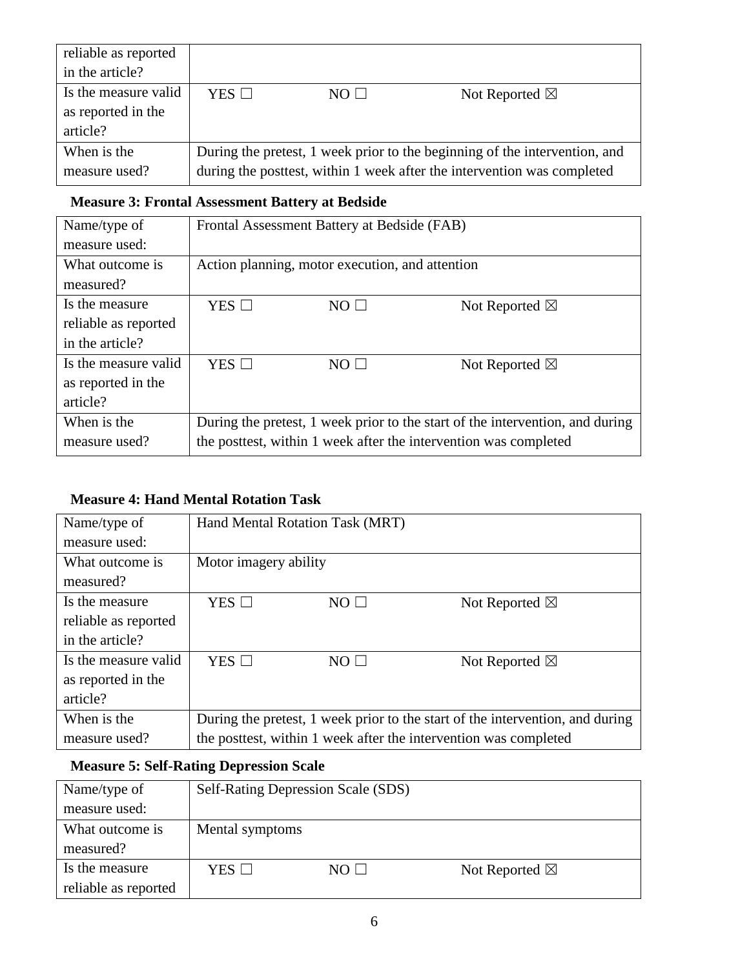| reliable as reported                                   |            |             |                                                                                                                                                       |
|--------------------------------------------------------|------------|-------------|-------------------------------------------------------------------------------------------------------------------------------------------------------|
| in the article?                                        |            |             |                                                                                                                                                       |
| Is the measure valid<br>as reported in the<br>article? | YES $\Box$ | $NO$ $\Box$ | Not Reported $\boxtimes$                                                                                                                              |
| When is the<br>measure used?                           |            |             | During the pretest, 1 week prior to the beginning of the intervention, and<br>during the posttest, within 1 week after the intervention was completed |

#### **Measure 3: Frontal Assessment Battery at Bedside**

| Name/type of         |                 | Frontal Assessment Battery at Bedside (FAB)     |                                                                               |
|----------------------|-----------------|-------------------------------------------------|-------------------------------------------------------------------------------|
| measure used:        |                 |                                                 |                                                                               |
| What outcome is      |                 | Action planning, motor execution, and attention |                                                                               |
| measured?            |                 |                                                 |                                                                               |
| Is the measure       | $YES$ $\square$ | $NO$ $\square$                                  | Not Reported $\boxtimes$                                                      |
| reliable as reported |                 |                                                 |                                                                               |
| in the article?      |                 |                                                 |                                                                               |
| Is the measure valid | YES $\square$   | $NO$ $\square$                                  | Not Reported $\boxtimes$                                                      |
| as reported in the   |                 |                                                 |                                                                               |
| article?             |                 |                                                 |                                                                               |
| When is the          |                 |                                                 | During the pretest, 1 week prior to the start of the intervention, and during |
| measure used?        |                 |                                                 | the posttest, within 1 week after the intervention was completed              |

#### **Measure 4: Hand Mental Rotation Task**

| Name/type of         |                       | Hand Mental Rotation Task (MRT) |                                                                               |
|----------------------|-----------------------|---------------------------------|-------------------------------------------------------------------------------|
| measure used:        |                       |                                 |                                                                               |
| What outcome is      | Motor imagery ability |                                 |                                                                               |
| measured?            |                       |                                 |                                                                               |
| Is the measure       | $YES$ $\square$       | $NO$ $\square$                  | Not Reported $\boxtimes$                                                      |
| reliable as reported |                       |                                 |                                                                               |
| in the article?      |                       |                                 |                                                                               |
| Is the measure valid | $YES$ $\square$       | $NO \Box$                       | Not Reported $\boxtimes$                                                      |
| as reported in the   |                       |                                 |                                                                               |
| article?             |                       |                                 |                                                                               |
| When is the          |                       |                                 | During the pretest, 1 week prior to the start of the intervention, and during |
| measure used?        |                       |                                 | the posttest, within 1 week after the intervention was completed              |

#### **Measure 5: Self-Rating Depression Scale**

| Name/type of         | Self-Rating Depression Scale (SDS) |           |                          |
|----------------------|------------------------------------|-----------|--------------------------|
| measure used:        |                                    |           |                          |
| What outcome is      | Mental symptoms                    |           |                          |
| measured?            |                                    |           |                          |
| Is the measure       | YES $\Box$                         | $NO \Box$ | Not Reported $\boxtimes$ |
| reliable as reported |                                    |           |                          |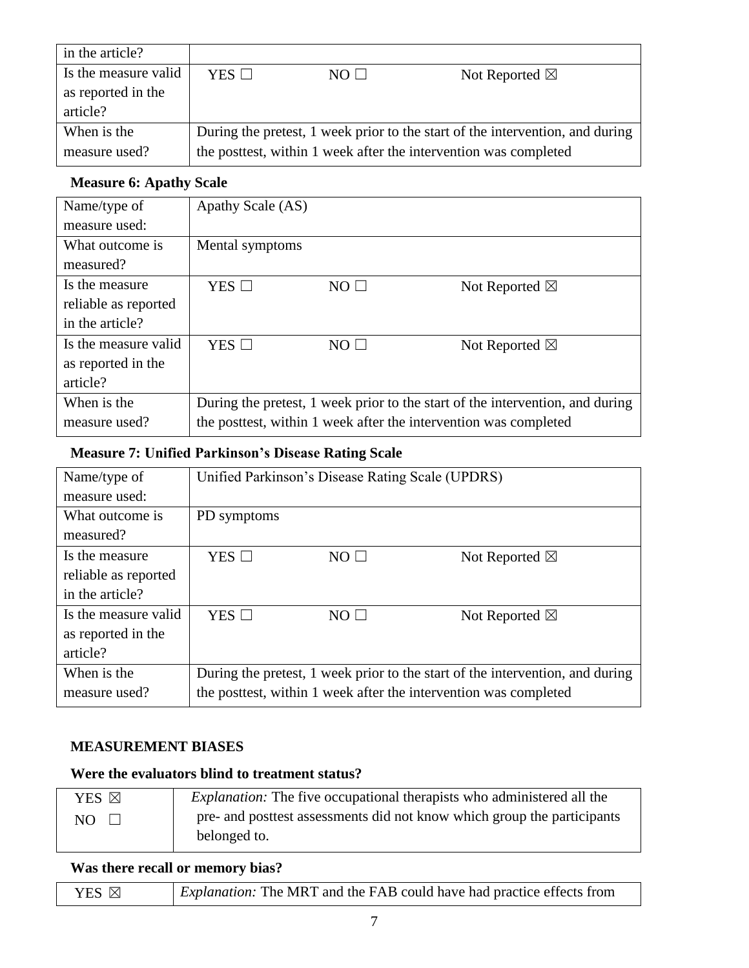| in the article?      |            |             |                                                                               |
|----------------------|------------|-------------|-------------------------------------------------------------------------------|
| Is the measure valid | YES $\Box$ | $NO$ $\Box$ | Not Reported $\boxtimes$                                                      |
| as reported in the   |            |             |                                                                               |
| article?             |            |             |                                                                               |
| When is the          |            |             | During the pretest, 1 week prior to the start of the intervention, and during |
| measure used?        |            |             | the posttest, within 1 week after the intervention was completed              |

#### **Measure 6: Apathy Scale**

| Name/type of         | Apathy Scale (AS) |                |                                                                               |
|----------------------|-------------------|----------------|-------------------------------------------------------------------------------|
| measure used:        |                   |                |                                                                               |
| What outcome is      | Mental symptoms   |                |                                                                               |
| measured?            |                   |                |                                                                               |
| Is the measure       | $YES$ $\square$   | $NO$ $\square$ | Not Reported $\boxtimes$                                                      |
| reliable as reported |                   |                |                                                                               |
| in the article?      |                   |                |                                                                               |
| Is the measure valid | YES $\Box$        | $NO \Box$      | Not Reported $\boxtimes$                                                      |
| as reported in the   |                   |                |                                                                               |
| article?             |                   |                |                                                                               |
| When is the          |                   |                | During the pretest, 1 week prior to the start of the intervention, and during |
| measure used?        |                   |                | the posttest, within 1 week after the intervention was completed              |

## **Measure 7: Unified Parkinson's Disease Rating Scale**

| Name/type of         |                 | Unified Parkinson's Disease Rating Scale (UPDRS) |                                                                               |
|----------------------|-----------------|--------------------------------------------------|-------------------------------------------------------------------------------|
| measure used:        |                 |                                                  |                                                                               |
| What outcome is      | PD symptoms     |                                                  |                                                                               |
| measured?            |                 |                                                  |                                                                               |
| Is the measure       | YES $\square$   | $NO$ $\Box$                                      | Not Reported $\boxtimes$                                                      |
| reliable as reported |                 |                                                  |                                                                               |
| in the article?      |                 |                                                  |                                                                               |
| Is the measure valid | $YES$ $\square$ | $NO$ $\square$                                   | Not Reported $\boxtimes$                                                      |
| as reported in the   |                 |                                                  |                                                                               |
| article?             |                 |                                                  |                                                                               |
| When is the          |                 |                                                  | During the pretest, 1 week prior to the start of the intervention, and during |
| measure used?        |                 |                                                  | the posttest, within 1 week after the intervention was completed              |

#### **MEASUREMENT BIASES**

#### **Were the evaluators blind to treatment status?**

| YES ⊠ | <i>Explanation:</i> The five occupational therapists who administered all the |
|-------|-------------------------------------------------------------------------------|
| NO.   | pre- and posttest assessments did not know which group the participants       |
|       | belonged to.                                                                  |

#### **Was there recall or memory bias?**

| $\vert$ YES $\boxtimes$ | <i>Explanation:</i> The MRT and the FAB could have had practice effects from |
|-------------------------|------------------------------------------------------------------------------|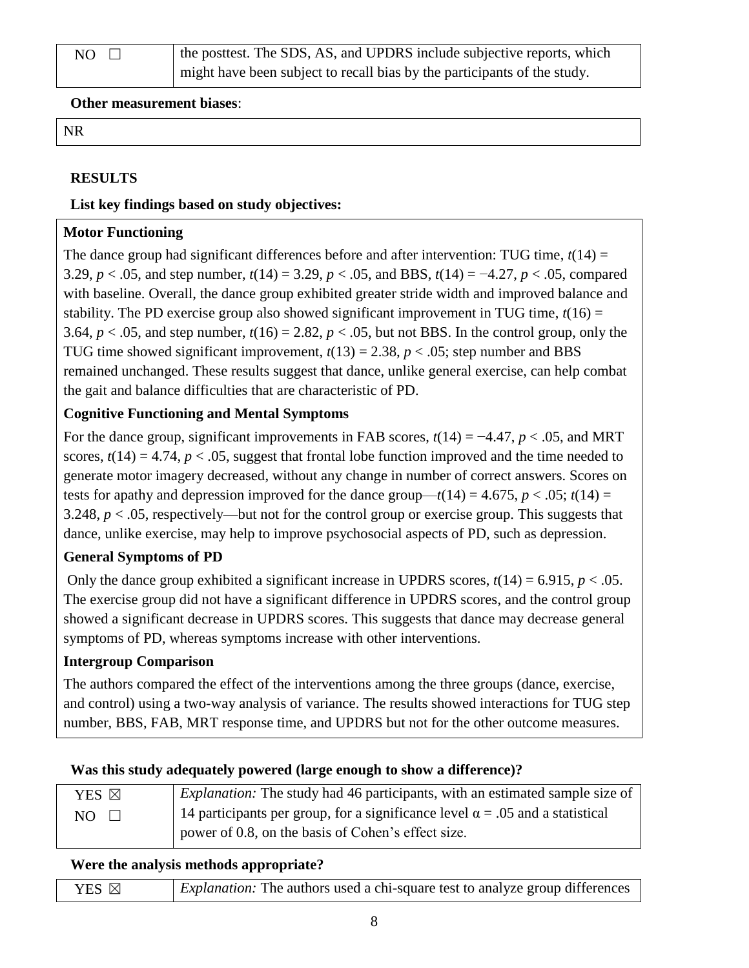**Other measurement biases**:

NR

#### **RESULTS**

#### **List key findings based on study objectives:**

#### **Motor Functioning**

The dance group had significant differences before and after intervention: TUG time,  $t(14)$  = 3.29, *p* < .05, and step number, *t*(14) = 3.29, *p* < .05, and BBS, *t*(14) = −4.27, *p* < .05, compared with baseline. Overall, the dance group exhibited greater stride width and improved balance and stability. The PD exercise group also showed significant improvement in TUG time,  $t(16)$  = 3.64,  $p < .05$ , and step number,  $t(16) = 2.82$ ,  $p < .05$ , but not BBS. In the control group, only the TUG time showed significant improvement,  $t(13) = 2.38$ ,  $p < .05$ ; step number and BBS remained unchanged. These results suggest that dance, unlike general exercise, can help combat the gait and balance difficulties that are characteristic of PD.

#### **Cognitive Functioning and Mental Symptoms**

For the dance group, significant improvements in FAB scores, *t*(14) = −4.47, *p* < .05, and MRT scores,  $t(14) = 4.74$ ,  $p < .05$ , suggest that frontal lobe function improved and the time needed to generate motor imagery decreased, without any change in number of correct answers. Scores on tests for apathy and depression improved for the dance group— $t(14) = 4.675$ ,  $p < .05$ ;  $t(14) =$ 3.248, *p* < .05, respectively—but not for the control group or exercise group. This suggests that dance, unlike exercise, may help to improve psychosocial aspects of PD, such as depression.

#### **General Symptoms of PD**

Only the dance group exhibited a significant increase in UPDRS scores,  $t(14) = 6.915$ ,  $p < .05$ . The exercise group did not have a significant difference in UPDRS scores, and the control group showed a significant decrease in UPDRS scores. This suggests that dance may decrease general symptoms of PD, whereas symptoms increase with other interventions.

#### **Intergroup Comparison**

The authors compared the effect of the interventions among the three groups (dance, exercise, and control) using a two-way analysis of variance. The results showed interactions for TUG step number, BBS, FAB, MRT response time, and UPDRS but not for the other outcome measures.

#### **Was this study adequately powered (large enough to show a difference)?**

| YES ⊠       | <i>Explanation:</i> The study had 46 participants, with an estimated sample size of  |
|-------------|--------------------------------------------------------------------------------------|
| $NO$ $\Box$ | 14 participants per group, for a significance level $\alpha$ = .05 and a statistical |
|             | power of 0.8, on the basis of Cohen's effect size.                                   |

#### **Were the analysis methods appropriate?**

| YES $\boxtimes$ | <i>Explanation:</i> The authors used a chi-square test to analyze group differences |
|-----------------|-------------------------------------------------------------------------------------|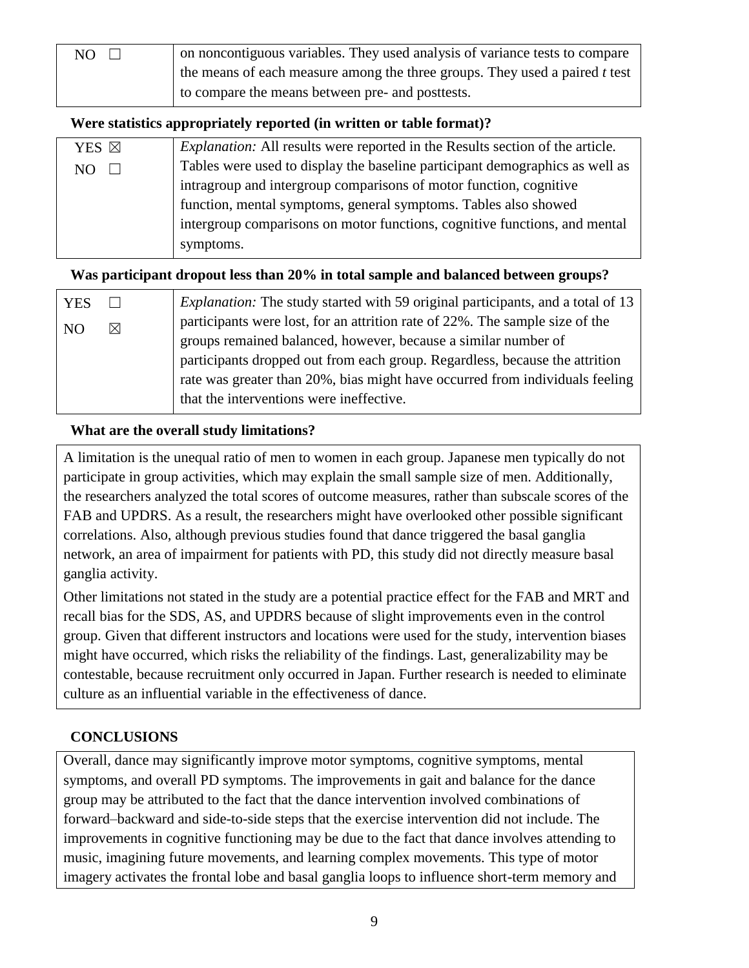| NO. | on noncontiguous variables. They used analysis of variance tests to compare   |
|-----|-------------------------------------------------------------------------------|
|     | the means of each measure among the three groups. They used a paired $t$ test |
|     | to compare the means between pre- and posttests.                              |

#### **Were statistics appropriately reported (in written or table format)?**

| YES ⊠ | <i>Explanation:</i> All results were reported in the Results section of the article. |
|-------|--------------------------------------------------------------------------------------|
| NO.   | Tables were used to display the baseline participant demographics as well as         |
|       | intragroup and intergroup comparisons of motor function, cognitive                   |
|       | function, mental symptoms, general symptoms. Tables also showed                      |
|       | intergroup comparisons on motor functions, cognitive functions, and mental           |
|       | symptoms.                                                                            |
|       |                                                                                      |

#### **Was participant dropout less than 20% in total sample and balanced between groups?**

| <b>YES</b> |   | <i>Explanation:</i> The study started with 59 original participants, and a total of 13 |
|------------|---|----------------------------------------------------------------------------------------|
| NO.        | ⊠ | participants were lost, for an attrition rate of 22%. The sample size of the           |
|            |   | groups remained balanced, however, because a similar number of                         |
|            |   | participants dropped out from each group. Regardless, because the attrition            |
|            |   | rate was greater than 20%, bias might have occurred from individuals feeling           |
|            |   | that the interventions were ineffective.                                               |

#### **What are the overall study limitations?**

A limitation is the unequal ratio of men to women in each group. Japanese men typically do not participate in group activities, which may explain the small sample size of men. Additionally, the researchers analyzed the total scores of outcome measures, rather than subscale scores of the FAB and UPDRS. As a result, the researchers might have overlooked other possible significant correlations. Also, although previous studies found that dance triggered the basal ganglia network, an area of impairment for patients with PD, this study did not directly measure basal ganglia activity.

Other limitations not stated in the study are a potential practice effect for the FAB and MRT and recall bias for the SDS, AS, and UPDRS because of slight improvements even in the control group. Given that different instructors and locations were used for the study, intervention biases might have occurred, which risks the reliability of the findings. Last, generalizability may be contestable, because recruitment only occurred in Japan. Further research is needed to eliminate culture as an influential variable in the effectiveness of dance.

#### **CONCLUSIONS**

Overall, dance may significantly improve motor symptoms, cognitive symptoms, mental symptoms, and overall PD symptoms. The improvements in gait and balance for the dance group may be attributed to the fact that the dance intervention involved combinations of forward–backward and side-to-side steps that the exercise intervention did not include. The improvements in cognitive functioning may be due to the fact that dance involves attending to music, imagining future movements, and learning complex movements. This type of motor imagery activates the frontal lobe and basal ganglia loops to influence short-term memory and